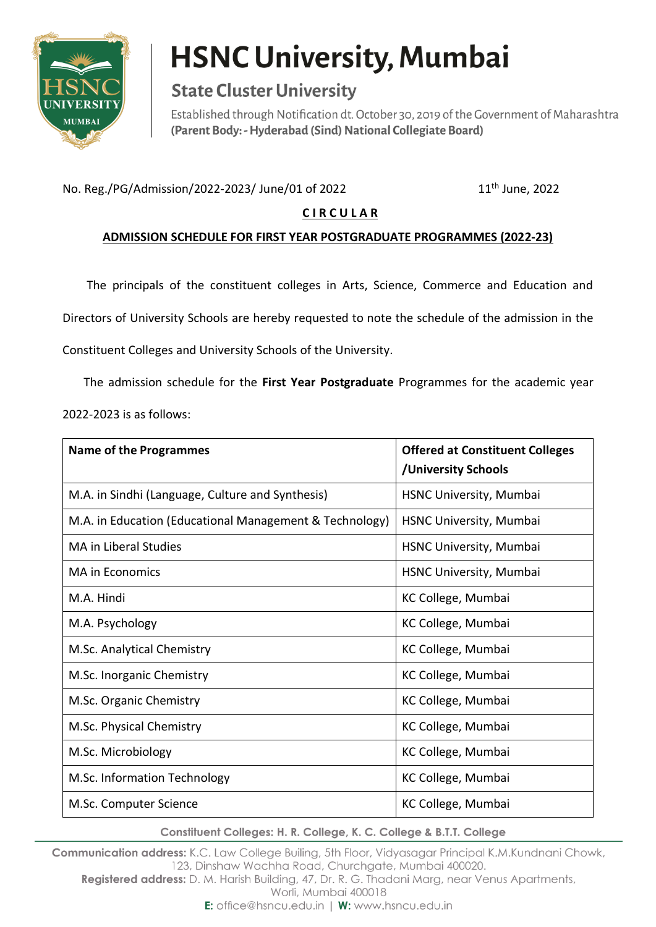

## **HSNC University, Mumbai**

### **State Cluster University**

Established through Notification dt. October 30, 2019 of the Government of Maharashtra (Parent Body: - Hyderabad (Sind) National Collegiate Board)

No. Reg./PG/Admission/2022-2023/ June/01 of 2022 11<sup>th</sup> June, 2022

#### **C I R C U L A R**

#### **ADMISSION SCHEDULE FOR FIRST YEAR POSTGRADUATE PROGRAMMES (2022-23)**

The principals of the constituent colleges in Arts, Science, Commerce and Education and

Directors of University Schools are hereby requested to note the schedule of the admission in the

Constituent Colleges and University Schools of the University.

 The admission schedule for the **First Year Postgraduate** Programmes for the academic year 2022-2023 is as follows:

| <b>Name of the Programmes</b>                           | <b>Offered at Constituent Colleges</b><br>/University Schools |
|---------------------------------------------------------|---------------------------------------------------------------|
| M.A. in Sindhi (Language, Culture and Synthesis)        | HSNC University, Mumbai                                       |
| M.A. in Education (Educational Management & Technology) | HSNC University, Mumbai                                       |
| <b>MA</b> in Liberal Studies                            | HSNC University, Mumbai                                       |
| <b>MA in Economics</b>                                  | HSNC University, Mumbai                                       |
| M.A. Hindi                                              | KC College, Mumbai                                            |
| M.A. Psychology                                         | KC College, Mumbai                                            |
| M.Sc. Analytical Chemistry                              | KC College, Mumbai                                            |
| M.Sc. Inorganic Chemistry                               | KC College, Mumbai                                            |
| M.Sc. Organic Chemistry                                 | KC College, Mumbai                                            |
| M.Sc. Physical Chemistry                                | KC College, Mumbai                                            |
| M.Sc. Microbiology                                      | KC College, Mumbai                                            |
| M.Sc. Information Technology                            | KC College, Mumbai                                            |
| M.Sc. Computer Science                                  | KC College, Mumbai                                            |

Constituent Colleges: H. R. College, K. C. College & B.T.T. College

Communication address: K.C. Law College Builing, 5th Floor, Vidyasagar Principal K.M.Kundnani Chowk, 123, Dinshaw Wachha Road, Churchaate, Mumbai 400020.

Registered address: D. M. Harish Building, 47, Dr. R. G. Thadani Marg, near Venus Apartments,

Worli, Mumbai 400018

E: office@hsncu.edu.in | W: www.hsncu.edu.in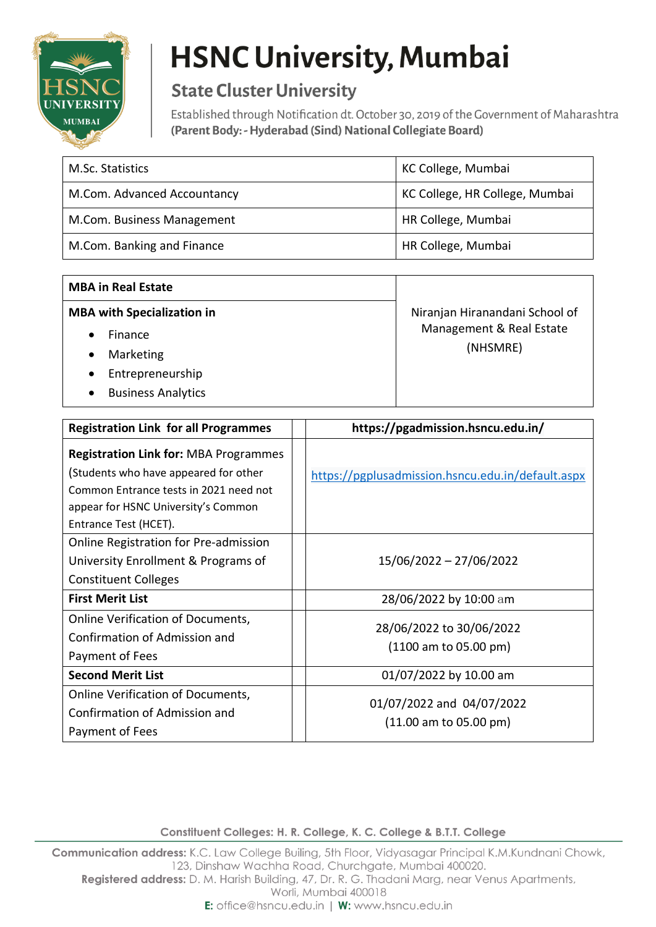

# **HSNC University, Mumbai**

### **State Cluster University**

Established through Notification dt. October 30, 2019 of the Government of Maharashtra (Parent Body: - Hyderabad (Sind) National Collegiate Board)

| M.Sc. Statistics            | KC College, Mumbai             |
|-----------------------------|--------------------------------|
| M.Com. Advanced Accountancy | KC College, HR College, Mumbai |
| M.Com. Business Management  | HR College, Mumbai             |
| M.Com. Banking and Finance  | HR College, Mumbai             |

| <b>MBA in Real Estate</b>         |                                      |
|-----------------------------------|--------------------------------------|
| <b>MBA with Specialization in</b> | Niranjan Hiranandani School of       |
| Finance                           | Management & Real Estate<br>(NHSMRE) |
| Marketing                         |                                      |
| Entrepreneurship<br>$\bullet$     |                                      |
| <b>Business Analytics</b>         |                                      |

| <b>Registration Link for all Programmes</b>                                                                                                                                                     | https://pgadmission.hsncu.edu.in/                                      |
|-------------------------------------------------------------------------------------------------------------------------------------------------------------------------------------------------|------------------------------------------------------------------------|
| <b>Registration Link for: MBA Programmes</b><br>(Students who have appeared for other<br>Common Entrance tests in 2021 need not<br>appear for HSNC University's Common<br>Entrance Test (HCET). | https://pgplusadmission.hsncu.edu.in/default.aspx                      |
| Online Registration for Pre-admission<br>University Enrollment & Programs of<br><b>Constituent Colleges</b>                                                                                     | 15/06/2022 - 27/06/2022                                                |
| <b>First Merit List</b>                                                                                                                                                                         | 28/06/2022 by 10:00 am                                                 |
| <b>Online Verification of Documents,</b><br>Confirmation of Admission and<br>Payment of Fees                                                                                                    | 28/06/2022 to 30/06/2022<br>(1100 am to 05.00 pm)                      |
| <b>Second Merit List</b>                                                                                                                                                                        | 01/07/2022 by 10.00 am                                                 |
| Online Verification of Documents,<br>Confirmation of Admission and<br>Payment of Fees                                                                                                           | 01/07/2022 and 04/07/2022<br>$(11.00 \text{ am to } 05.00 \text{ pm})$ |

Constituent Colleges: H. R. College, K. C. College & B.T.T. College

Communication address: K.C. Law College Builing, 5th Floor, Vidyasagar Principal K.M.Kundnani Chowk, 123, Dinshaw Wachha Road, Churchgate, Mumbai 400020. Registered address: D. M. Harish Building, 47, Dr. R. G. Thadani Marg, near Venus Apartments, Worli, Mumbai 400018

E: office@hsncu.edu.in | W: www.hsncu.edu.in